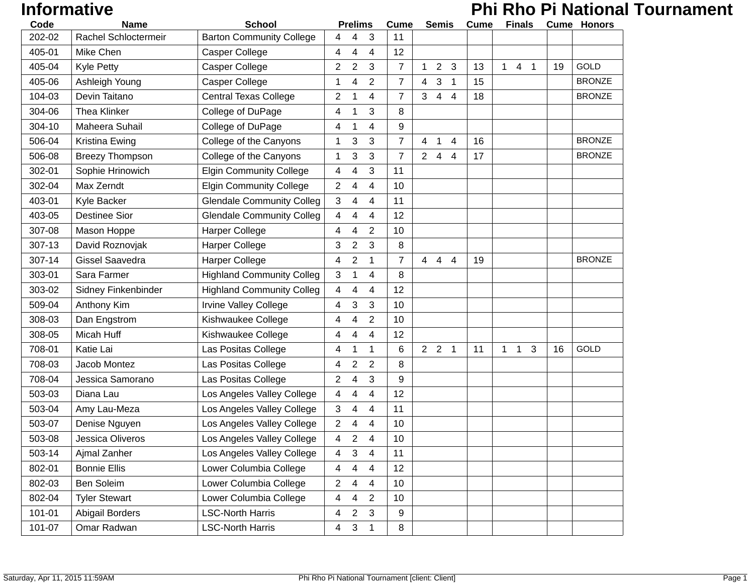# **Informative Phi Rho Pi National Tournament**

| Code   | <b>Name</b>            | <b>School</b>                    | <b>Prelims</b> |                         | <b>Cume</b>    |                | <b>Semis</b>   | Cume                             | <b>Finals</b> |                  |             | <b>Cume Honors</b> |               |
|--------|------------------------|----------------------------------|----------------|-------------------------|----------------|----------------|----------------|----------------------------------|---------------|------------------|-------------|--------------------|---------------|
| 202-02 | Rachel Schloctermeir   | <b>Barton Community College</b>  | 4              | 4                       | 3              | 11             |                |                                  |               |                  |             |                    |               |
| 405-01 | Mike Chen              | Casper College                   | 4              | 4                       | 4              | 12             |                |                                  |               |                  |             |                    |               |
| 405-04 | <b>Kyle Petty</b>      | Casper College                   | $\overline{2}$ | $\overline{2}$          | 3              | $\overline{7}$ | $\mathbf 1$    | $\overline{2}$<br>3              | 13            | 4<br>$\mathbf 1$ | $\mathbf 1$ | 19                 | <b>GOLD</b>   |
| 405-06 | Ashleigh Young         | Casper College                   | 1              | 4                       | 2              | $\overline{7}$ | $\overline{4}$ | $\mathbf{3}$<br>$\mathbf 1$      | 15            |                  |             |                    | <b>BRONZE</b> |
| 104-03 | Devin Taitano          | <b>Central Texas College</b>     | 2              | 1                       | 4              | 7              | 3              | $\overline{4}$<br>4              | 18            |                  |             |                    | <b>BRONZE</b> |
| 304-06 | Thea Klinker           | College of DuPage                | 4              | 1                       | 3              | 8              |                |                                  |               |                  |             |                    |               |
| 304-10 | Maheera Suhail         | College of DuPage                | 4              |                         | 4              | 9              |                |                                  |               |                  |             |                    |               |
| 506-04 | Kristina Ewing         | College of the Canyons           | 1              | 3                       | 3              | $\overline{7}$ | 4              | $\mathbf 1$<br>4                 | 16            |                  |             |                    | <b>BRONZE</b> |
| 506-08 | <b>Breezy Thompson</b> | College of the Canyons           | 1              | 3                       | 3              | $\overline{7}$ | 2 <sup>1</sup> | $\overline{4}$<br>$\overline{4}$ | 17            |                  |             |                    | <b>BRONZE</b> |
| 302-01 | Sophie Hrinowich       | <b>Elgin Community College</b>   | 4              | 4                       | 3              | 11             |                |                                  |               |                  |             |                    |               |
| 302-04 | Max Zerndt             | <b>Elgin Community College</b>   | $\overline{2}$ | 4                       | 4              | 10             |                |                                  |               |                  |             |                    |               |
| 403-01 | Kyle Backer            | <b>Glendale Community Colleg</b> | 3              | 4                       | 4              | 11             |                |                                  |               |                  |             |                    |               |
| 403-05 | <b>Destinee Sior</b>   | <b>Glendale Community Colleg</b> | 4              | 4                       | 4              | 12             |                |                                  |               |                  |             |                    |               |
| 307-08 | Mason Hoppe            | Harper College                   | 4              | 4                       | 2              | 10             |                |                                  |               |                  |             |                    |               |
| 307-13 | David Roznovjak        | Harper College                   | 3              | $\overline{\mathbf{c}}$ | 3              | 8              |                |                                  |               |                  |             |                    |               |
| 307-14 | <b>Gissel Saavedra</b> | Harper College                   | 4              | 2                       | 1              | $\overline{7}$ | $\overline{4}$ | 4<br>4                           | 19            |                  |             |                    | <b>BRONZE</b> |
| 303-01 | Sara Farmer            | <b>Highland Community Colleg</b> | 3              |                         | 4              | 8              |                |                                  |               |                  |             |                    |               |
| 303-02 | Sidney Finkenbinder    | <b>Highland Community Colleg</b> | 4              | 4                       | 4              | 12             |                |                                  |               |                  |             |                    |               |
| 509-04 | Anthony Kim            | <b>Irvine Valley College</b>     | 4              | 3                       | 3              | 10             |                |                                  |               |                  |             |                    |               |
| 308-03 | Dan Engstrom           | Kishwaukee College               | 4              | 4                       | $\overline{2}$ | 10             |                |                                  |               |                  |             |                    |               |
| 308-05 | Micah Huff             | Kishwaukee College               | 4              | 4                       | 4              | 12             |                |                                  |               |                  |             |                    |               |
| 708-01 | Katie Lai              | Las Positas College              | 4              |                         | 1              | 6              |                | $2 \quad 2 \quad 1$              | 11            | 1<br>1           | 3           | 16                 | <b>GOLD</b>   |
| 708-03 | Jacob Montez           | Las Positas College              | 4              | 2                       | 2              | 8              |                |                                  |               |                  |             |                    |               |
| 708-04 | Jessica Samorano       | Las Positas College              | $\overline{c}$ | 4                       | 3              | 9              |                |                                  |               |                  |             |                    |               |
| 503-03 | Diana Lau              | Los Angeles Valley College       | 4              | 4                       | 4              | 12             |                |                                  |               |                  |             |                    |               |
| 503-04 | Amy Lau-Meza           | Los Angeles Valley College       | 3              | 4                       | 4              | 11             |                |                                  |               |                  |             |                    |               |
| 503-07 | Denise Nguyen          | Los Angeles Valley College       | $\overline{2}$ | 4                       | 4              | 10             |                |                                  |               |                  |             |                    |               |
| 503-08 | Jessica Oliveros       | Los Angeles Valley College       | 4              | 2                       | 4              | 10             |                |                                  |               |                  |             |                    |               |
| 503-14 | Ajmal Zanher           | Los Angeles Valley College       | 4              | 3                       | 4              | 11             |                |                                  |               |                  |             |                    |               |
| 802-01 | <b>Bonnie Ellis</b>    | Lower Columbia College           | 4              | 4                       | 4              | 12             |                |                                  |               |                  |             |                    |               |
| 802-03 | Ben Soleim             | Lower Columbia College           | $\overline{2}$ | 4                       | 4              | 10             |                |                                  |               |                  |             |                    |               |
| 802-04 | <b>Tyler Stewart</b>   | Lower Columbia College           | 4              | 4                       | $\mathbf{2}$   | 10             |                |                                  |               |                  |             |                    |               |
| 101-01 | <b>Abigail Borders</b> | <b>LSC-North Harris</b>          | 4              | $\overline{c}$          | 3              | 9              |                |                                  |               |                  |             |                    |               |
| 101-07 | Omar Radwan            | <b>LSC-North Harris</b>          | 4              | $\sqrt{3}$              | 1              | 8              |                |                                  |               |                  |             |                    |               |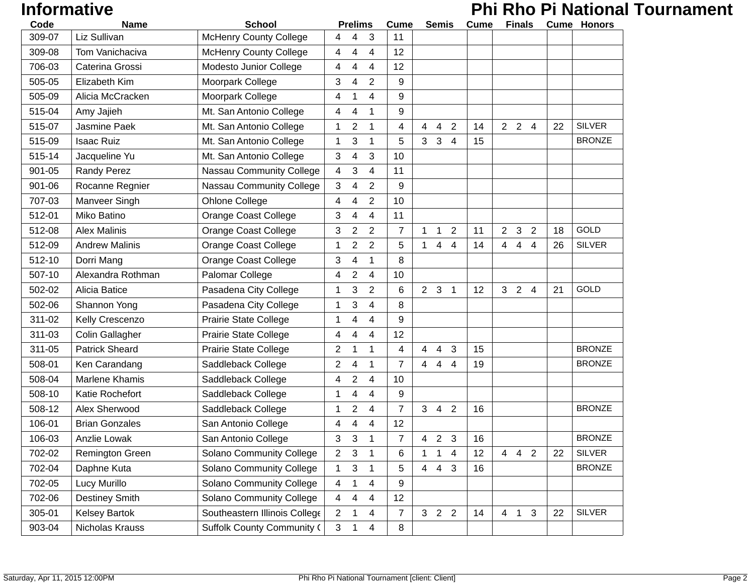## **Informative Phi Rho Pi National Tournament**

| Code   | <b>Name</b>           | <b>School</b>                     | <b>Prelims</b>                     | <b>Cume</b>    | <b>Semis</b>                                   | Cume | <b>Finals</b>                                    |    | <b>Cume Honors</b> |
|--------|-----------------------|-----------------------------------|------------------------------------|----------------|------------------------------------------------|------|--------------------------------------------------|----|--------------------|
| 309-07 | Liz Sullivan          | <b>McHenry County College</b>     | 3<br>4<br>4                        | 11             |                                                |      |                                                  |    |                    |
| 309-08 | Tom Vanichaciva       | <b>McHenry County College</b>     | 4<br>4<br>4                        | 12             |                                                |      |                                                  |    |                    |
| 706-03 | Caterina Grossi       | Modesto Junior College            | 4<br>4<br>4                        | 12             |                                                |      |                                                  |    |                    |
| 505-05 | Elizabeth Kim         | Moorpark College                  | 3<br>2<br>4                        | 9              |                                                |      |                                                  |    |                    |
| 505-09 | Alicia McCracken      | Moorpark College                  | 4<br>4<br>1                        | 9              |                                                |      |                                                  |    |                    |
| 515-04 | Amy Jajieh            | Mt. San Antonio College           | 4<br>4<br>1                        | 9              |                                                |      |                                                  |    |                    |
| 515-07 | Jasmine Paek          | Mt. San Antonio College           | 2<br>1<br>1                        | 4              | $\overline{2}$<br>4<br>4                       | 14   | $2 \quad 2 \quad 4$                              | 22 | <b>SILVER</b>      |
| 515-09 | <b>Isaac Ruiz</b>     | Mt. San Antonio College           | 1<br>3<br>1                        | 5              | 3<br>3<br>$\overline{4}$                       | 15   |                                                  |    | <b>BRONZE</b>      |
| 515-14 | Jacqueline Yu         | Mt. San Antonio College           | 3<br>4<br>3                        | 10             |                                                |      |                                                  |    |                    |
| 901-05 | Randy Perez           | <b>Nassau Community College</b>   | 4<br>3<br>4                        | 11             |                                                |      |                                                  |    |                    |
| 901-06 | Rocanne Regnier       | Nassau Community College          | 3<br>2<br>4                        | 9              |                                                |      |                                                  |    |                    |
| 707-03 | Manveer Singh         | Ohlone College                    | $\overline{2}$<br>4<br>4           | 10             |                                                |      |                                                  |    |                    |
| 512-01 | Miko Batino           | <b>Orange Coast College</b>       | 3<br>4<br>4                        | 11             |                                                |      |                                                  |    |                    |
| 512-08 | <b>Alex Malinis</b>   | Orange Coast College              | 3<br>2<br>2                        | 7              | $\overline{2}$<br>$\mathbf{1}$<br>$\mathbf{1}$ | 11   | $\mathbf{3}$<br>$\overline{2}$<br>$\overline{2}$ | 18 | <b>GOLD</b>        |
| 512-09 | <b>Andrew Malinis</b> | <b>Orange Coast College</b>       | $\overline{\mathbf{c}}$<br>2<br>1  | 5              | $\overline{4}$<br>$\mathbf 1$<br>4             | 14   | 4<br>4<br>4                                      | 26 | <b>SILVER</b>      |
| 512-10 | Dorri Mang            | Orange Coast College              | 3<br>4<br>1                        | 8              |                                                |      |                                                  |    |                    |
| 507-10 | Alexandra Rothman     | Palomar College                   | 2<br>4<br>4                        | 10             |                                                |      |                                                  |    |                    |
| 502-02 | Alicia Batice         | Pasadena City College             | 1<br>3<br>2                        | 6              | $2^{\circ}$<br>$\mathbf{3}$<br>$\overline{1}$  | 12   | 2<br>3<br>$\overline{4}$                         | 21 | GOLD               |
| 502-06 | Shannon Yong          | Pasadena City College             | 3<br>1<br>4                        | 8              |                                                |      |                                                  |    |                    |
| 311-02 | Kelly Crescenzo       | Prairie State College             | 4<br>4<br>1                        | 9              |                                                |      |                                                  |    |                    |
| 311-03 | Colin Gallagher       | Prairie State College             | 4<br>4<br>4                        | 12             |                                                |      |                                                  |    |                    |
| 311-05 | <b>Patrick Sheard</b> | Prairie State College             | 2<br>1<br>1                        | 4              | 3<br>4<br>4                                    | 15   |                                                  |    | <b>BRONZE</b>      |
| 508-01 | Ken Carandang         | Saddleback College                | 2<br>4<br>1                        | 7              | 44<br>$\overline{4}$                           | 19   |                                                  |    | <b>BRONZE</b>      |
| 508-04 | Marlene Khamis        | Saddleback College                | 4<br>2<br>4                        | 10             |                                                |      |                                                  |    |                    |
| 508-10 | Katie Rochefort       | Saddleback College                | 4<br>1<br>4                        | 9              |                                                |      |                                                  |    |                    |
| 508-12 | Alex Sherwood         | Saddleback College                | 2<br>1<br>4                        | 7              | $\overline{2}$<br>3<br>$\overline{4}$          | 16   |                                                  |    | <b>BRONZE</b>      |
| 106-01 | <b>Brian Gonzales</b> | San Antonio College               | 4<br>4<br>4                        | 12             |                                                |      |                                                  |    |                    |
| 106-03 | Anzlie Lowak          | San Antonio College               | 3<br>3<br>1                        | 7              | 2<br>3<br>4                                    | 16   |                                                  |    | <b>BRONZE</b>      |
| 702-02 | Remington Green       | <b>Solano Community College</b>   | 3<br>$\overline{2}$<br>$\mathbf 1$ | 6              | $\overline{4}$<br>$\mathbf 1$<br>$\mathbf 1$   | 12   | $4$ $4$ $2$                                      | 22 | <b>SILVER</b>      |
| 702-04 | Daphne Kuta           | <b>Solano Community College</b>   | 3<br>1<br>1                        | 5              | $\overline{4}$<br>$\overline{4}$<br>3          | 16   |                                                  |    | <b>BRONZE</b>      |
| 702-05 | Lucy Murillo          | <b>Solano Community College</b>   | 4<br>4<br>1                        | 9              |                                                |      |                                                  |    |                    |
| 702-06 | <b>Destiney Smith</b> | <b>Solano Community College</b>   | 4<br>4<br>4                        | 12             |                                                |      |                                                  |    |                    |
| 305-01 | <b>Kelsey Bartok</b>  | Southeastern Illinois College     | $\overline{c}$<br>4<br>1           | $\overline{7}$ | $3 \quad 2 \quad 2$                            | 14   | 4<br>$\mathbf{1}$<br>3                           | 22 | <b>SILVER</b>      |
| 903-04 | Nicholas Krauss       | <b>Suffolk County Community (</b> | 3<br>$\overline{4}$<br>1           | 8              |                                                |      |                                                  |    |                    |